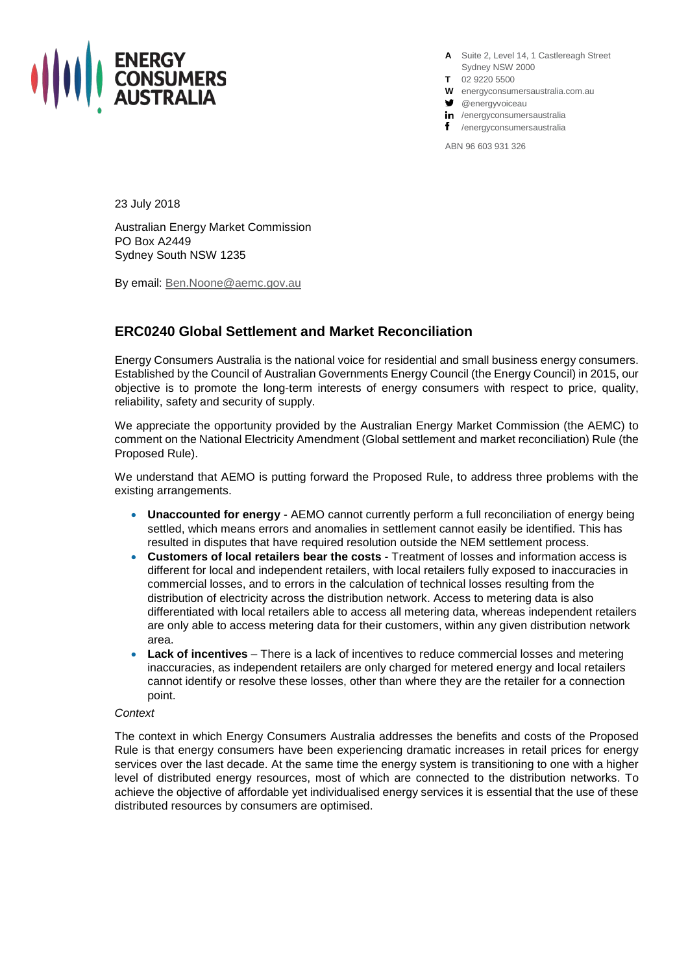

**A** Suite 2, Level 14, 1 Castlereagh Street Sydney NSW 2000

- **T** 02 9220 5500
- **W** energyconsumersaustralia.com.au
- **g** @energyvoiceau
- in /energyconsumersaustralia
- f /energyconsumersaustralia

ABN 96 603 931 326

23 July 2018

Australian Energy Market Commission PO Box A2449 Sydney South NSW 1235

By email: [Ben.Noone@aemc.gov.au](mailto:Ben.Noone@aemc.gov.au)

# **ERC0240 Global Settlement and Market Reconciliation**

Energy Consumers Australia is the national voice for residential and small business energy consumers. Established by the Council of Australian Governments Energy Council (the Energy Council) in 2015, our objective is to promote the long-term interests of energy consumers with respect to price, quality, reliability, safety and security of supply.

We appreciate the opportunity provided by the Australian Energy Market Commission (the AEMC) to comment on the National Electricity Amendment (Global settlement and market reconciliation) Rule (the Proposed Rule).

We understand that AEMO is putting forward the Proposed Rule, to address three problems with the existing arrangements.

- **Unaccounted for energy** AEMO cannot currently perform a full reconciliation of energy being settled, which means errors and anomalies in settlement cannot easily be identified. This has resulted in disputes that have required resolution outside the NEM settlement process.
- **Customers of local retailers bear the costs** Treatment of losses and information access is different for local and independent retailers, with local retailers fully exposed to inaccuracies in commercial losses, and to errors in the calculation of technical losses resulting from the distribution of electricity across the distribution network. Access to metering data is also differentiated with local retailers able to access all metering data, whereas independent retailers are only able to access metering data for their customers, within any given distribution network area.
- **Lack of incentives** There is a lack of incentives to reduce commercial losses and metering inaccuracies, as independent retailers are only charged for metered energy and local retailers cannot identify or resolve these losses, other than where they are the retailer for a connection point.

# *Context*

The context in which Energy Consumers Australia addresses the benefits and costs of the Proposed Rule is that energy consumers have been experiencing dramatic increases in retail prices for energy services over the last decade. At the same time the energy system is transitioning to one with a higher level of distributed energy resources, most of which are connected to the distribution networks. To achieve the objective of affordable yet individualised energy services it is essential that the use of these distributed resources by consumers are optimised.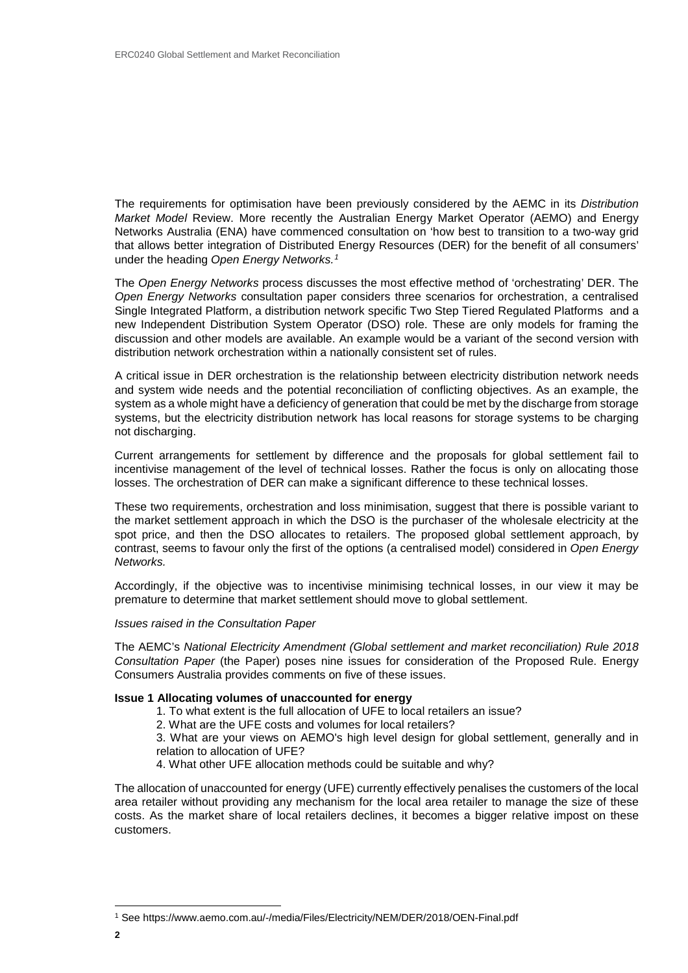The requirements for optimisation have been previously considered by the AEMC in its *Distribution Market Model* Review. More recently the Australian Energy Market Operator (AEMO) and Energy Networks Australia (ENA) have commenced consultation on 'how best to transition to a two-way grid that allows better integration of Distributed Energy Resources (DER) for the benefit of all consumers' under the heading *Open Energy Networks.[1](#page-1-0)*

The *Open Energy Networks* process discusses the most effective method of 'orchestrating' DER. The *Open Energy Networks* consultation paper considers three scenarios for orchestration, a centralised Single Integrated Platform, a distribution network specific Two Step Tiered Regulated Platforms and a new Independent Distribution System Operator (DSO) role. These are only models for framing the discussion and other models are available. An example would be a variant of the second version with distribution network orchestration within a nationally consistent set of rules.

A critical issue in DER orchestration is the relationship between electricity distribution network needs and system wide needs and the potential reconciliation of conflicting objectives. As an example, the system as a whole might have a deficiency of generation that could be met by the discharge from storage systems, but the electricity distribution network has local reasons for storage systems to be charging not discharging.

Current arrangements for settlement by difference and the proposals for global settlement fail to incentivise management of the level of technical losses. Rather the focus is only on allocating those losses. The orchestration of DER can make a significant difference to these technical losses.

These two requirements, orchestration and loss minimisation, suggest that there is possible variant to the market settlement approach in which the DSO is the purchaser of the wholesale electricity at the spot price, and then the DSO allocates to retailers. The proposed global settlement approach, by contrast, seems to favour only the first of the options (a centralised model) considered in *Open Energy Networks.*

Accordingly, if the objective was to incentivise minimising technical losses, in our view it may be premature to determine that market settlement should move to global settlement.

# *Issues raised in the Consultation Paper*

The AEMC's *National Electricity Amendment (Global settlement and market reconciliation) Rule 2018 Consultation Paper* (the Paper) poses nine issues for consideration of the Proposed Rule. Energy Consumers Australia provides comments on five of these issues.

# **Issue 1 Allocating volumes of unaccounted for energy**

1. To what extent is the full allocation of UFE to local retailers an issue?

2. What are the UFE costs and volumes for local retailers?

3. What are your views on AEMO's high level design for global settlement, generally and in relation to allocation of UFE?

4. What other UFE allocation methods could be suitable and why?

The allocation of unaccounted for energy (UFE) currently effectively penalises the customers of the local area retailer without providing any mechanism for the local area retailer to manage the size of these costs. As the market share of local retailers declines, it becomes a bigger relative impost on these customers.

<span id="page-1-0"></span> <sup>1</sup> See https://www.aemo.com.au/-/media/Files/Electricity/NEM/DER/2018/OEN-Final.pdf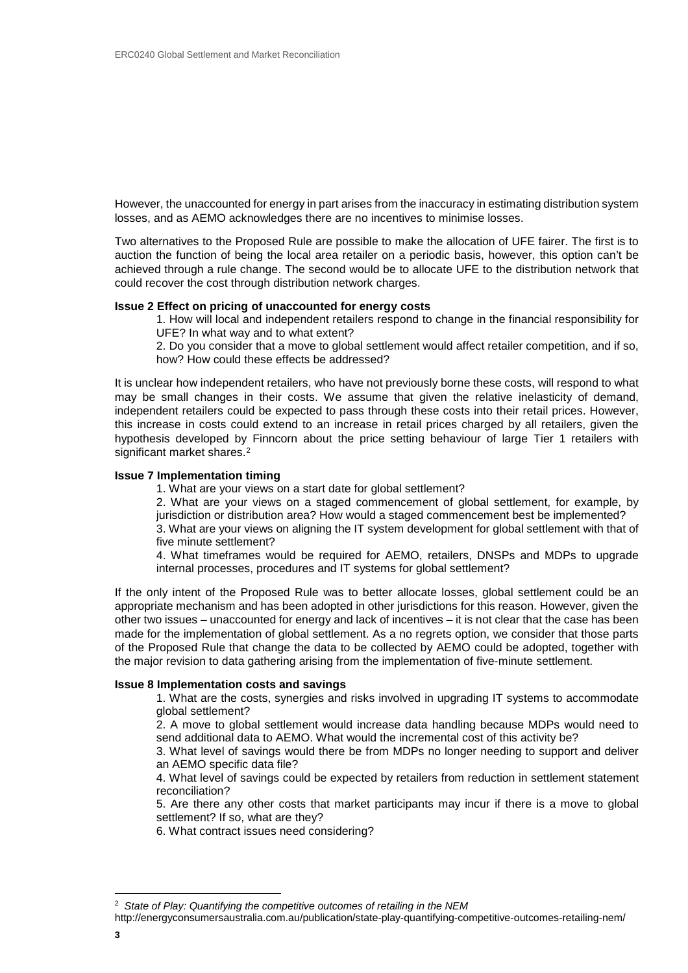However, the unaccounted for energy in part arises from the inaccuracy in estimating distribution system losses, and as AEMO acknowledges there are no incentives to minimise losses.

Two alternatives to the Proposed Rule are possible to make the allocation of UFE fairer. The first is to auction the function of being the local area retailer on a periodic basis, however, this option can't be achieved through a rule change. The second would be to allocate UFE to the distribution network that could recover the cost through distribution network charges.

## **Issue 2 Effect on pricing of unaccounted for energy costs**

1. How will local and independent retailers respond to change in the financial responsibility for UFE? In what way and to what extent?

2. Do you consider that a move to global settlement would affect retailer competition, and if so, how? How could these effects be addressed?

It is unclear how independent retailers, who have not previously borne these costs, will respond to what may be small changes in their costs. We assume that given the relative inelasticity of demand, independent retailers could be expected to pass through these costs into their retail prices. However, this increase in costs could extend to an increase in retail prices charged by all retailers, given the hypothesis developed by Finncorn about the price setting behaviour of large Tier 1 retailers with significant market shares.<sup>[2](#page-2-0)</sup>

# **Issue 7 Implementation timing**

1. What are your views on a start date for global settlement?

2. What are your views on a staged commencement of global settlement, for example, by jurisdiction or distribution area? How would a staged commencement best be implemented?

3. What are your views on aligning the IT system development for global settlement with that of five minute settlement?

4. What timeframes would be required for AEMO, retailers, DNSPs and MDPs to upgrade internal processes, procedures and IT systems for global settlement?

If the only intent of the Proposed Rule was to better allocate losses, global settlement could be an appropriate mechanism and has been adopted in other jurisdictions for this reason. However, given the other two issues – unaccounted for energy and lack of incentives – it is not clear that the case has been made for the implementation of global settlement. As a no regrets option, we consider that those parts of the Proposed Rule that change the data to be collected by AEMO could be adopted, together with the major revision to data gathering arising from the implementation of five-minute settlement.

# **Issue 8 Implementation costs and savings**

1. What are the costs, synergies and risks involved in upgrading IT systems to accommodate global settlement?

2. A move to global settlement would increase data handling because MDPs would need to send additional data to AEMO. What would the incremental cost of this activity be?

3. What level of savings would there be from MDPs no longer needing to support and deliver an AEMO specific data file?

4. What level of savings could be expected by retailers from reduction in settlement statement reconciliation?

5. Are there any other costs that market participants may incur if there is a move to global settlement? If so, what are they?

6. What contract issues need considering?

<span id="page-2-0"></span> <sup>2</sup> *State of Play: Quantifying the competitive outcomes of retailing in the NEM*

http://energyconsumersaustralia.com.au/publication/state-play-quantifying-competitive-outcomes-retailing-nem/